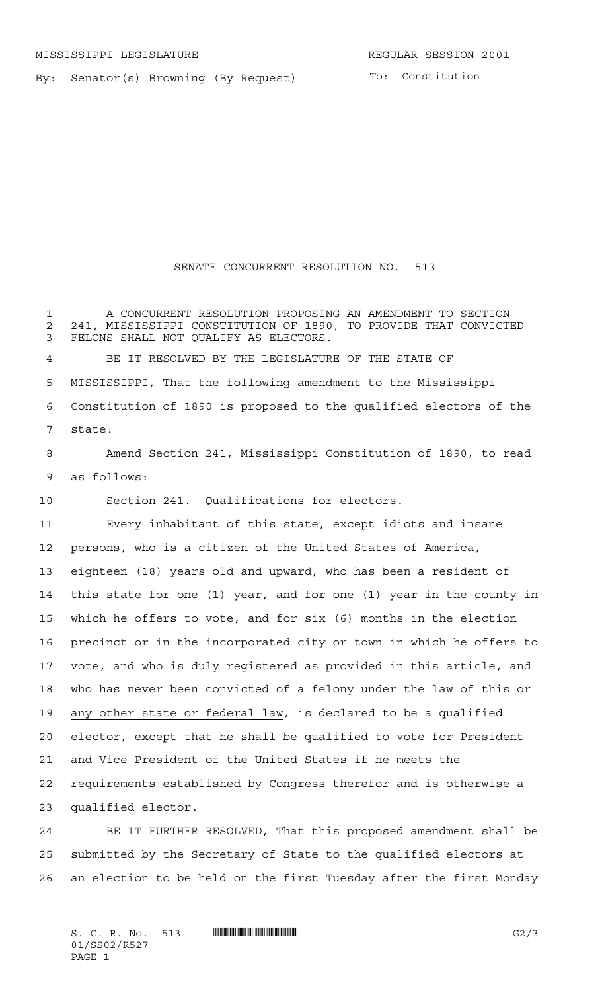By: Senator(s) Browning (By Request)

To: Constitution

## SENATE CONCURRENT RESOLUTION NO. 513

 A CONCURRENT RESOLUTION PROPOSING AN AMENDMENT TO SECTION 2 241, MISSISSIPPI CONSTITUTION OF 1890, TO PROVIDE THAT CONVICTED<br>3 FELONS SHALL NOT OUALIFY AS ELECTORS. FELONS SHALL NOT QUALIFY AS ELECTORS. BE IT RESOLVED BY THE LEGISLATURE OF THE STATE OF

 MISSISSIPPI, That the following amendment to the Mississippi Constitution of 1890 is proposed to the qualified electors of the state:

 Amend Section 241, Mississippi Constitution of 1890, to read as follows:

Section 241. Qualifications for electors.

 Every inhabitant of this state, except idiots and insane persons, who is a citizen of the United States of America, eighteen (18) years old and upward, who has been a resident of this state for one (1) year, and for one (1) year in the county in which he offers to vote, and for six (6) months in the election precinct or in the incorporated city or town in which he offers to vote, and who is duly registered as provided in this article, and who has never been convicted of a felony under the law of this or 19 any other state or federal law, is declared to be a qualified elector, except that he shall be qualified to vote for President and Vice President of the United States if he meets the requirements established by Congress therefor and is otherwise a qualified elector.

 BE IT FURTHER RESOLVED, That this proposed amendment shall be submitted by the Secretary of State to the qualified electors at an election to be held on the first Tuesday after the first Monday